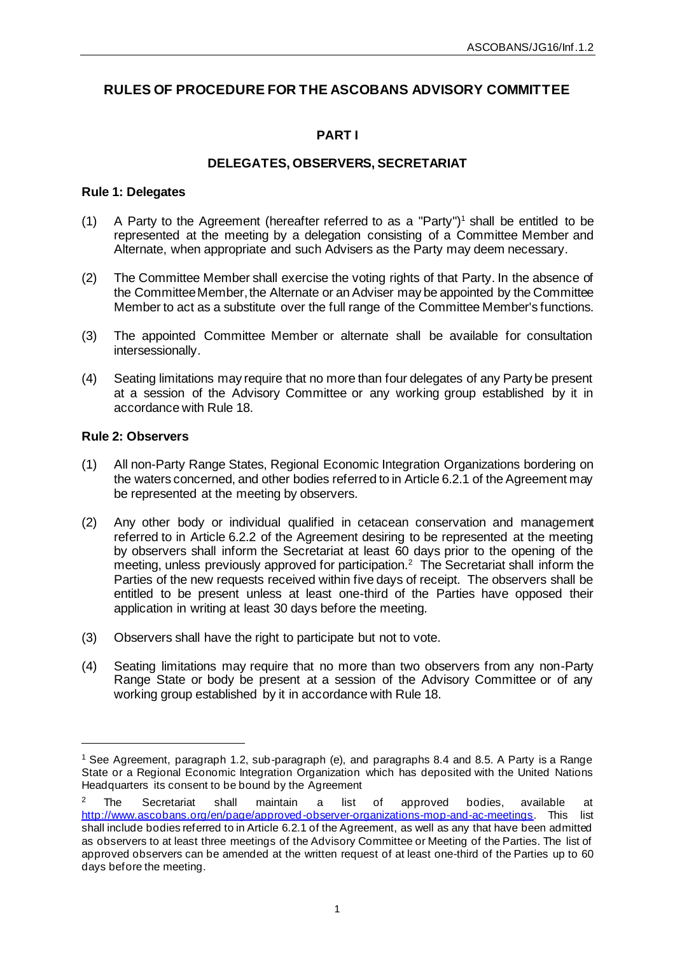# **RULES OF PROCEDURE FOR THE ASCOBANS ADVISORY COMMITTEE**

# **PART I**

# **DELEGATES, OBSERVERS, SECRETARIAT**

# **Rule 1: Delegates**

- (1) A Party to the Agreement (hereafter referred to as a "Party")<sup>1</sup> shall be entitled to be represented at the meeting by a delegation consisting of a Committee Member and Alternate, when appropriate and such Advisers as the Party may deem necessary.
- (2) The Committee Member shall exercise the voting rights of that Party. In the absence of the Committee Member, the Alternate or an Adviser may be appointed by the Committee Member to act as a substitute over the full range of the Committee Member's functions.
- (3) The appointed Committee Member or alternate shall be available for consultation intersessionally.
- (4) Seating limitations may require that no more than four delegates of any Party be present at a session of the Advisory Committee or any working group established by it in accordance with Rule 18.

# **Rule 2: Observers**

- (1) All non-Party Range States, Regional Economic Integration Organizations bordering on the waters concerned, and other bodies referred to in Article 6.2.1 of the Agreement may be represented at the meeting by observers.
- (2) Any other body or individual qualified in cetacean conservation and management referred to in Article 6.2.2 of the Agreement desiring to be represented at the meeting by observers shall inform the Secretariat at least 60 days prior to the opening of the meeting, unless previously approved for participation.<sup>2</sup> The Secretariat shall inform the Parties of the new requests received within five days of receipt. The observers shall be entitled to be present unless at least one-third of the Parties have opposed their application in writing at least 30 days before the meeting.
- (3) Observers shall have the right to participate but not to vote.
- (4) Seating limitations may require that no more than two observers from any non-Party Range State or body be present at a session of the Advisory Committee or of any working group established by it in accordance with Rule 18.

<sup>1</sup> See Agreement, paragraph 1.2, sub-paragraph (e), and paragraphs 8.4 and 8.5. A Party is a Range State or a Regional Economic Integration Organization which has deposited with the United Nations Headquarters its consent to be bound by the Agreement

<sup>&</sup>lt;sup>2</sup> The Secretariat shall maintain a list of approved bodies, available at [http://www.ascobans.org/en/page/approved-observer-organizations-mop-and-ac-meetings.](http://www.ascobans.org/en/page/approved-observer-organizations-mop-and-ac-meetings) This list shall include bodies referred to in Article 6.2.1 of the Agreement, as well as any that have been admitted as observers to at least three meetings of the Advisory Committee or Meeting of the Parties. The list of approved observers can be amended at the written request of at least one-third of the Parties up to 60 days before the meeting.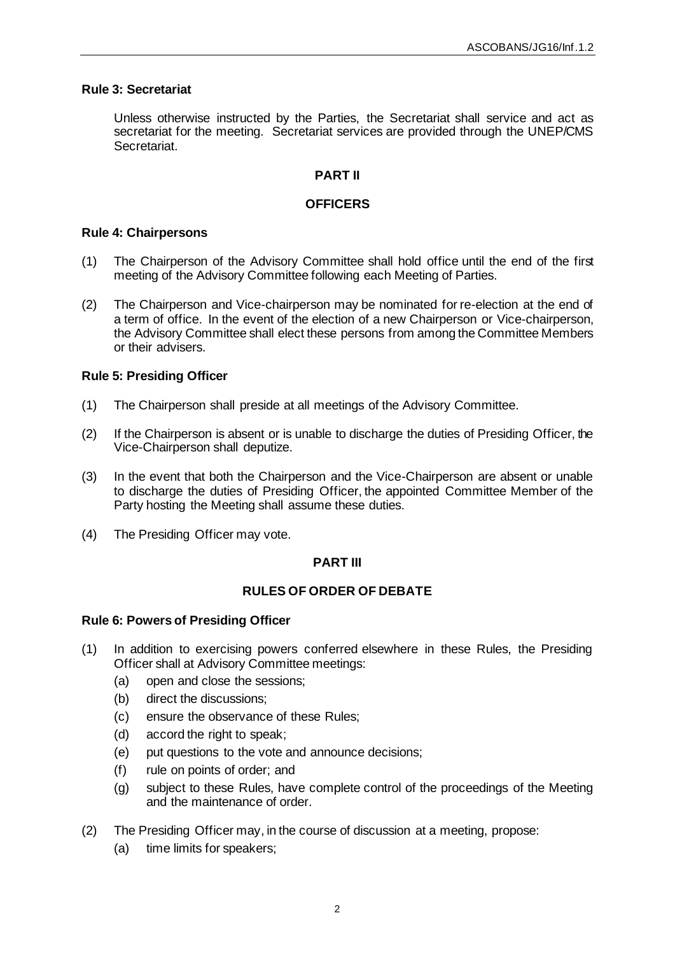## **Rule 3: Secretariat**

Unless otherwise instructed by the Parties, the Secretariat shall service and act as secretariat for the meeting. Secretariat services are provided through the UNEP/CMS Secretariat.

# **PART II**

## **OFFICERS**

#### **Rule 4: Chairpersons**

- (1) The Chairperson of the Advisory Committee shall hold office until the end of the first meeting of the Advisory Committee following each Meeting of Parties.
- (2) The Chairperson and Vice-chairperson may be nominated for re-election at the end of a term of office. In the event of the election of a new Chairperson or Vice-chairperson, the Advisory Committee shall elect these persons from among the Committee Members or their advisers.

## **Rule 5: Presiding Officer**

- (1) The Chairperson shall preside at all meetings of the Advisory Committee.
- (2) If the Chairperson is absent or is unable to discharge the duties of Presiding Officer, the Vice-Chairperson shall deputize.
- (3) In the event that both the Chairperson and the Vice-Chairperson are absent or unable to discharge the duties of Presiding Officer, the appointed Committee Member of the Party hosting the Meeting shall assume these duties.
- (4) The Presiding Officer may vote.

# **PART III**

# **RULES OF ORDER OF DEBATE**

#### **Rule 6: Powers of Presiding Officer**

- (1) In addition to exercising powers conferred elsewhere in these Rules, the Presiding Officer shall at Advisory Committee meetings:
	- (a) open and close the sessions;
	- (b) direct the discussions;
	- (c) ensure the observance of these Rules;
	- (d) accord the right to speak;
	- (e) put questions to the vote and announce decisions;
	- (f) rule on points of order; and
	- (g) subject to these Rules, have complete control of the proceedings of the Meeting and the maintenance of order.
- (2) The Presiding Officer may, in the course of discussion at a meeting, propose:
	- (a) time limits for speakers;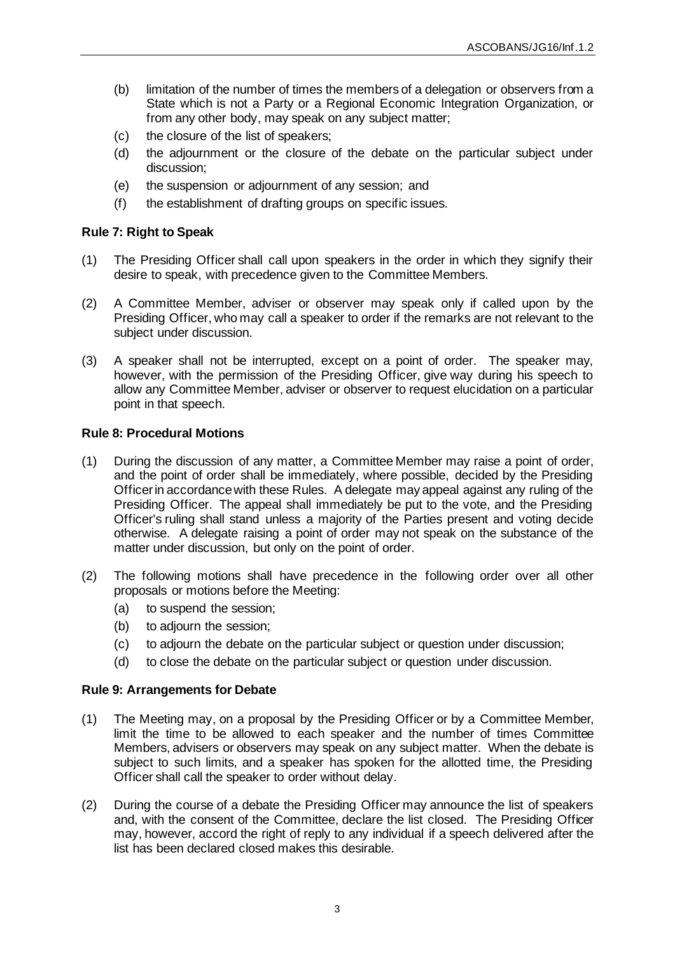- (b) limitation of the number of times the members of a delegation or observers from a State which is not a Party or a Regional Economic Integration Organization, or from any other body, may speak on any subject matter;
- (c) the closure of the list of speakers;
- (d) the adjournment or the closure of the debate on the particular subject under discussion;
- (e) the suspension or adjournment of any session; and
- (f) the establishment of drafting groups on specific issues.

# **Rule 7: Right to Speak**

- (1) The Presiding Officer shall call upon speakers in the order in which they signify their desire to speak, with precedence given to the Committee Members.
- (2) A Committee Member, adviser or observer may speak only if called upon by the Presiding Officer, who may call a speaker to order if the remarks are not relevant to the subject under discussion.
- (3) A speaker shall not be interrupted, except on a point of order. The speaker may, however, with the permission of the Presiding Officer, give way during his speech to allow any Committee Member, adviser or observer to request elucidation on a particular point in that speech.

# **Rule 8: Procedural Motions**

- (1) During the discussion of any matter, a Committee Member may raise a point of order, and the point of order shall be immediately, where possible, decided by the Presiding Officer in accordance with these Rules. A delegate may appeal against any ruling of the Presiding Officer. The appeal shall immediately be put to the vote, and the Presiding Officer's ruling shall stand unless a majority of the Parties present and voting decide otherwise. A delegate raising a point of order may not speak on the substance of the matter under discussion, but only on the point of order.
- (2) The following motions shall have precedence in the following order over all other proposals or motions before the Meeting:
	- (a) to suspend the session;
	- (b) to adjourn the session;
	- (c) to adjourn the debate on the particular subject or question under discussion;
	- (d) to close the debate on the particular subject or question under discussion.

# **Rule 9: Arrangements for Debate**

- (1) The Meeting may, on a proposal by the Presiding Officer or by a Committee Member, limit the time to be allowed to each speaker and the number of times Committee Members, advisers or observers may speak on any subject matter. When the debate is subject to such limits, and a speaker has spoken for the allotted time, the Presiding Officer shall call the speaker to order without delay.
- (2) During the course of a debate the Presiding Officer may announce the list of speakers and, with the consent of the Committee, declare the list closed. The Presiding Officer may, however, accord the right of reply to any individual if a speech delivered after the list has been declared closed makes this desirable.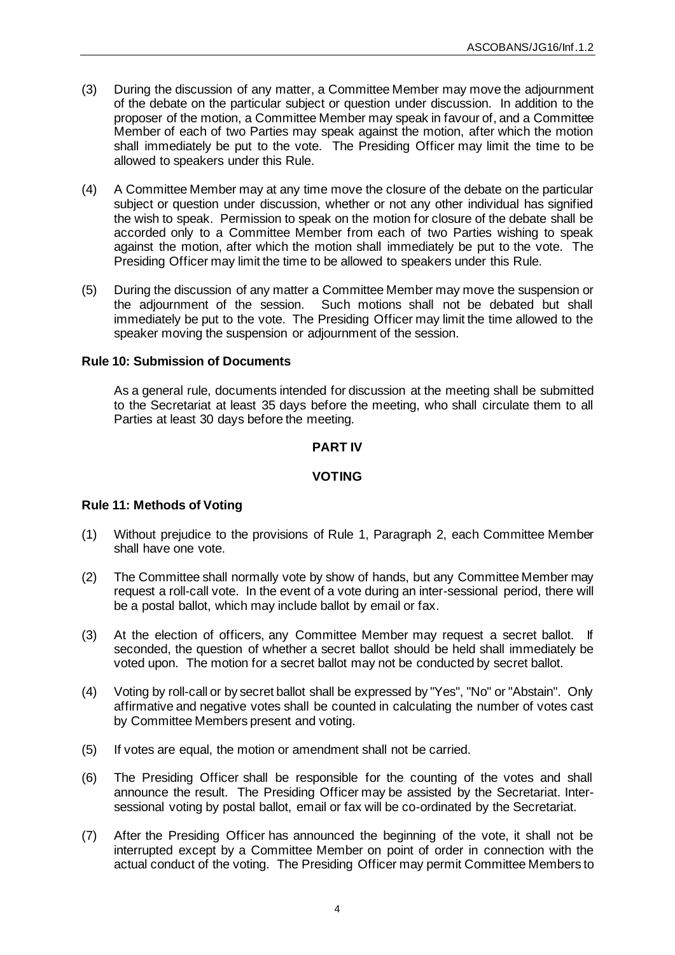- (3) During the discussion of any matter, a Committee Member may move the adjournment of the debate on the particular subject or question under discussion. In addition to the proposer of the motion, a Committee Member may speak in favour of, and a Committee Member of each of two Parties may speak against the motion, after which the motion shall immediately be put to the vote. The Presiding Officer may limit the time to be allowed to speakers under this Rule.
- (4) A Committee Member may at any time move the closure of the debate on the particular subject or question under discussion, whether or not any other individual has signified the wish to speak. Permission to speak on the motion for closure of the debate shall be accorded only to a Committee Member from each of two Parties wishing to speak against the motion, after which the motion shall immediately be put to the vote. The Presiding Officer may limit the time to be allowed to speakers under this Rule.
- (5) During the discussion of any matter a Committee Member may move the suspension or the adjournment of the session. Such motions shall not be debated but shall immediately be put to the vote. The Presiding Officer may limit the time allowed to the speaker moving the suspension or adjournment of the session.

# **Rule 10: Submission of Documents**

As a general rule, documents intended for discussion at the meeting shall be submitted to the Secretariat at least 35 days before the meeting, who shall circulate them to all Parties at least 30 days before the meeting.

## **PART IV**

## **VOTING**

# **Rule 11: Methods of Voting**

- (1) Without prejudice to the provisions of Rule 1, Paragraph 2, each Committee Member shall have one vote.
- (2) The Committee shall normally vote by show of hands, but any Committee Member may request a roll-call vote. In the event of a vote during an inter-sessional period, there will be a postal ballot, which may include ballot by email or fax.
- (3) At the election of officers, any Committee Member may request a secret ballot. If seconded, the question of whether a secret ballot should be held shall immediately be voted upon. The motion for a secret ballot may not be conducted by secret ballot.
- (4) Voting by roll-call or by secret ballot shall be expressed by "Yes", "No" or "Abstain". Only affirmative and negative votes shall be counted in calculating the number of votes cast by Committee Members present and voting.
- (5) If votes are equal, the motion or amendment shall not be carried.
- (6) The Presiding Officer shall be responsible for the counting of the votes and shall announce the result. The Presiding Officer may be assisted by the Secretariat. Intersessional voting by postal ballot, email or fax will be co-ordinated by the Secretariat.
- (7) After the Presiding Officer has announced the beginning of the vote, it shall not be interrupted except by a Committee Member on point of order in connection with the actual conduct of the voting. The Presiding Officer may permit Committee Members to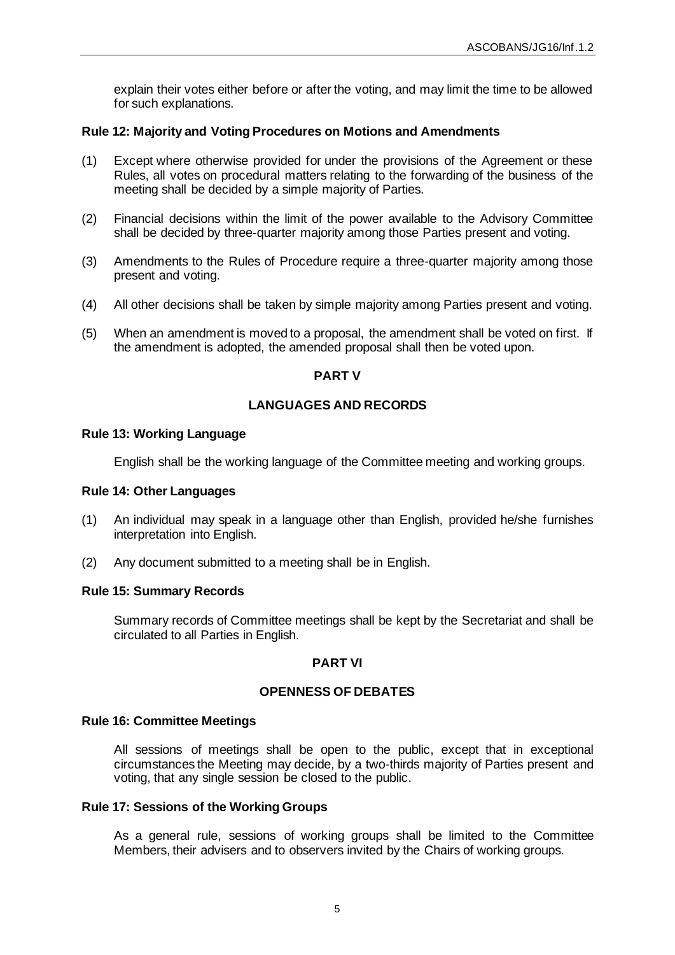explain their votes either before or after the voting, and may limit the time to be allowed for such explanations.

## **Rule 12: Majority and Voting Procedures on Motions and Amendments**

- (1) Except where otherwise provided for under the provisions of the Agreement or these Rules, all votes on procedural matters relating to the forwarding of the business of the meeting shall be decided by a simple majority of Parties.
- (2) Financial decisions within the limit of the power available to the Advisory Committee shall be decided by three-quarter majority among those Parties present and voting.
- (3) Amendments to the Rules of Procedure require a three-quarter majority among those present and voting.
- (4) All other decisions shall be taken by simple majority among Parties present and voting.
- (5) When an amendment is moved to a proposal, the amendment shall be voted on first. If the amendment is adopted, the amended proposal shall then be voted upon.

## **PART V**

## **LANGUAGES AND RECORDS**

#### **Rule 13: Working Language**

English shall be the working language of the Committee meeting and working groups.

#### **Rule 14: Other Languages**

- (1) An individual may speak in a language other than English, provided he/she furnishes interpretation into English.
- (2) Any document submitted to a meeting shall be in English.

#### **Rule 15: Summary Records**

Summary records of Committee meetings shall be kept by the Secretariat and shall be circulated to all Parties in English.

# **PART VI**

## **OPENNESS OF DEBATES**

#### **Rule 16: Committee Meetings**

All sessions of meetings shall be open to the public, except that in exceptional circumstances the Meeting may decide, by a two-thirds majority of Parties present and voting, that any single session be closed to the public.

#### **Rule 17: Sessions of the Working Groups**

As a general rule, sessions of working groups shall be limited to the Committee Members, their advisers and to observers invited by the Chairs of working groups.